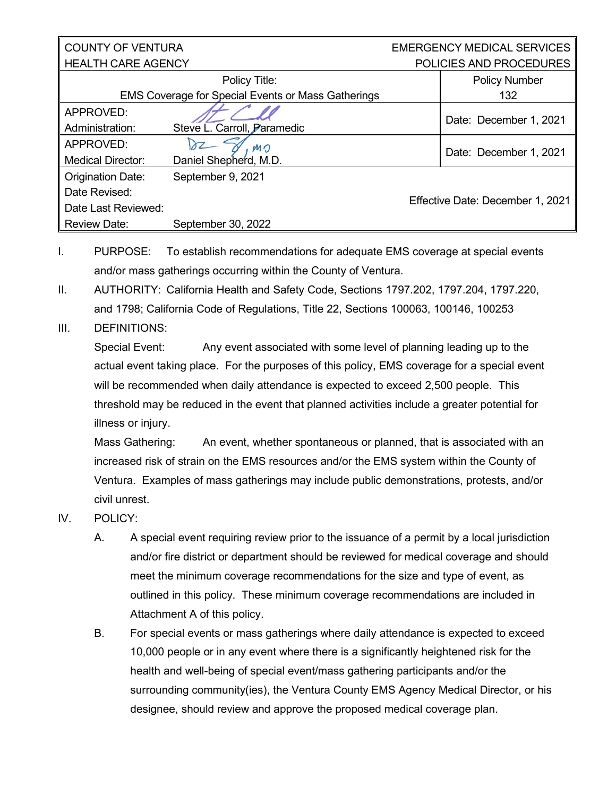### COUNTY OF VENTURA  $\parallel$  HFAI TH CARF AGFNCY.

EMERGENCY MEDICAL SERVICES POLICIES AND PROCEDURES

| Policy Title:                                             |                             | <b>Policy Number</b>             |
|-----------------------------------------------------------|-----------------------------|----------------------------------|
|                                                           |                             |                                  |
| <b>EMS Coverage for Special Events or Mass Gatherings</b> |                             | 132                              |
| APPROVED:                                                 |                             | Date: December 1, 2021           |
| Administration:                                           | Steve L. Carroll, Paramedic |                                  |
| APPROVED:                                                 | MO                          | Date: December 1, 2021           |
| <b>Medical Director:</b>                                  | Daniel Shepherd, M.D.       |                                  |
| <b>Origination Date:</b>                                  | September 9, 2021           |                                  |
| Date Revised:                                             |                             | Effective Date: December 1, 2021 |
| Date Last Reviewed:                                       |                             |                                  |
| <b>Review Date:</b>                                       | September 30, 2022          |                                  |

I. PURPOSE: To establish recommendations for adequate EMS coverage at special events and/or mass gatherings occurring within the County of Ventura.

- II. AUTHORITY: California Health and Safety Code, Sections 1797.202, 1797.204, 1797.220, and 1798; California Code of Regulations, Title 22, Sections 100063, 100146, 100253
- III. DEFINITIONS:

Special Event: Any event associated with some level of planning leading up to the actual event taking place. For the purposes of this policy, EMS coverage for a special event will be recommended when daily attendance is expected to exceed 2,500 people. This threshold may be reduced in the event that planned activities include a greater potential for illness or injury.

Mass Gathering: An event, whether spontaneous or planned, that is associated with an increased risk of strain on the EMS resources and/or the EMS system within the County of Ventura. Examples of mass gatherings may include public demonstrations, protests, and/or civil unrest.

- IV. POLICY:
	- A. A special event requiring review prior to the issuance of a permit by a local jurisdiction and/or fire district or department should be reviewed for medical coverage and should meet the minimum coverage recommendations for the size and type of event, as outlined in this policy. These minimum coverage recommendations are included in Attachment A of this policy.
	- B. For special events or mass gatherings where daily attendance is expected to exceed 10,000 people or in any event where there is a significantly heightened risk for the health and well-being of special event/mass gathering participants and/or the surrounding community(ies), the Ventura County EMS Agency Medical Director, or his designee, should review and approve the proposed medical coverage plan.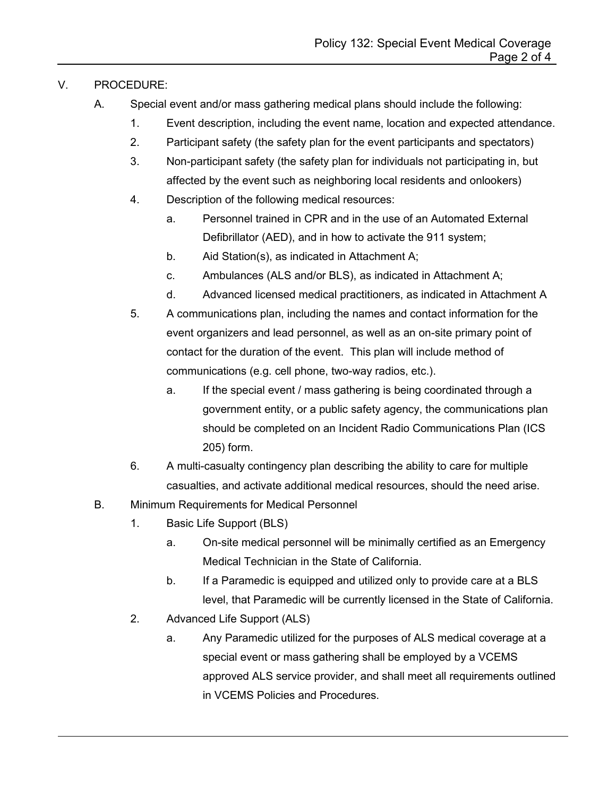### V. PROCEDURE:

- A. Special event and/or mass gathering medical plans should include the following:
	- 1. Event description, including the event name, location and expected attendance.
	- 2. Participant safety (the safety plan for the event participants and spectators)
	- 3. Non-participant safety (the safety plan for individuals not participating in, but affected by the event such as neighboring local residents and onlookers)
	- 4. Description of the following medical resources:
		- a. Personnel trained in CPR and in the use of an Automated External Defibrillator (AED), and in how to activate the 911 system;
		- b. Aid Station(s), as indicated in Attachment A;
		- c. Ambulances (ALS and/or BLS), as indicated in Attachment A;
		- d. Advanced licensed medical practitioners, as indicated in Attachment A
	- 5. A communications plan, including the names and contact information for the event organizers and lead personnel, as well as an on-site primary point of contact for the duration of the event. This plan will include method of communications (e.g. cell phone, two-way radios, etc.).
		- a. If the special event / mass gathering is being coordinated through a government entity, or a public safety agency, the communications plan should be completed on an Incident Radio Communications Plan (ICS 205) form.
	- 6. A multi-casualty contingency plan describing the ability to care for multiple casualties, and activate additional medical resources, should the need arise.
- B. Minimum Requirements for Medical Personnel
	- 1. Basic Life Support (BLS)
		- a. On-site medical personnel will be minimally certified as an Emergency Medical Technician in the State of California.
		- b. If a Paramedic is equipped and utilized only to provide care at a BLS level, that Paramedic will be currently licensed in the State of California.
	- 2. Advanced Life Support (ALS)
		- a. Any Paramedic utilized for the purposes of ALS medical coverage at a special event or mass gathering shall be employed by a VCEMS approved ALS service provider, and shall meet all requirements outlined in VCEMS Policies and Procedures.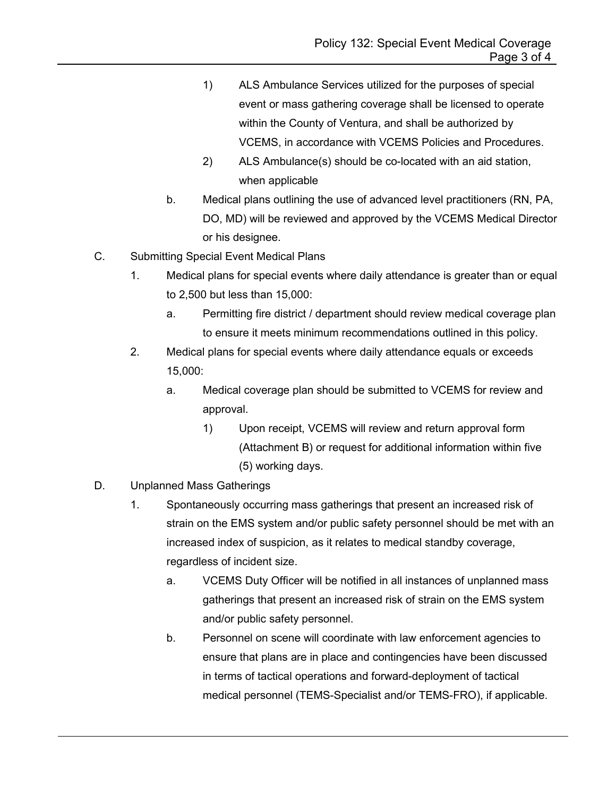- 1) ALS Ambulance Services utilized for the purposes of special event or mass gathering coverage shall be licensed to operate within the County of Ventura, and shall be authorized by VCEMS, in accordance with VCEMS Policies and Procedures.
- 2) ALS Ambulance(s) should be co-located with an aid station, when applicable
- b. Medical plans outlining the use of advanced level practitioners (RN, PA, DO, MD) will be reviewed and approved by the VCEMS Medical Director or his designee.
- C. Submitting Special Event Medical Plans
	- 1. Medical plans for special events where daily attendance is greater than or equal to 2,500 but less than 15,000:
		- a. Permitting fire district / department should review medical coverage plan to ensure it meets minimum recommendations outlined in this policy.
	- 2. Medical plans for special events where daily attendance equals or exceeds 15,000:
		- a. Medical coverage plan should be submitted to VCEMS for review and approval.
			- 1) Upon receipt, VCEMS will review and return approval form (Attachment B) or request for additional information within five (5) working days.
- D. Unplanned Mass Gatherings
	- 1. Spontaneously occurring mass gatherings that present an increased risk of strain on the EMS system and/or public safety personnel should be met with an increased index of suspicion, as it relates to medical standby coverage, regardless of incident size.
		- a. VCEMS Duty Officer will be notified in all instances of unplanned mass gatherings that present an increased risk of strain on the EMS system and/or public safety personnel.
		- b. Personnel on scene will coordinate with law enforcement agencies to ensure that plans are in place and contingencies have been discussed in terms of tactical operations and forward-deployment of tactical medical personnel (TEMS-Specialist and/or TEMS-FRO), if applicable.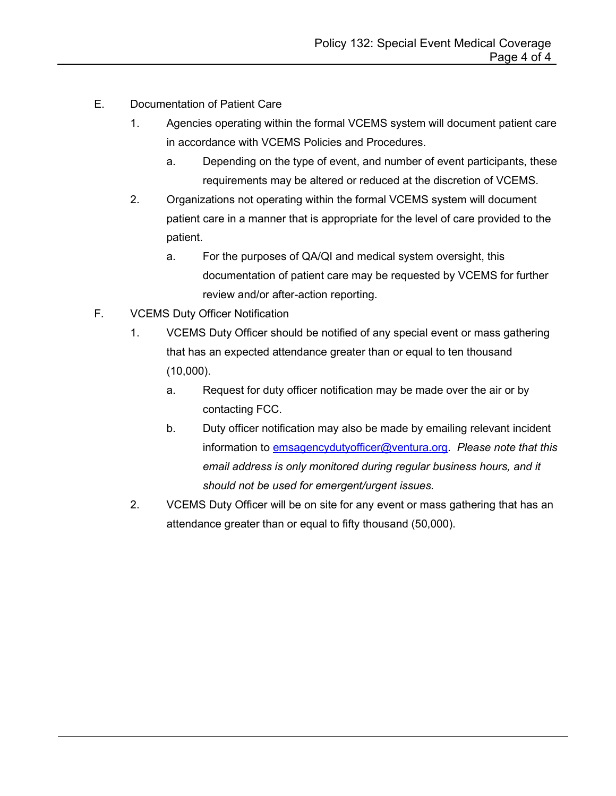- E. Documentation of Patient Care
	- 1. Agencies operating within the formal VCEMS system will document patient care in accordance with VCEMS Policies and Procedures.
		- a. Depending on the type of event, and number of event participants, these requirements may be altered or reduced at the discretion of VCEMS.
	- 2. Organizations not operating within the formal VCEMS system will document patient care in a manner that is appropriate for the level of care provided to the patient.
		- a. For the purposes of QA/QI and medical system oversight, this documentation of patient care may be requested by VCEMS for further review and/or after-action reporting.
- F. VCEMS Duty Officer Notification
	- 1. VCEMS Duty Officer should be notified of any special event or mass gathering that has an expected attendance greater than or equal to ten thousand (10,000).
		- a. Request for duty officer notification may be made over the air or by contacting FCC.
		- b. Duty officer notification may also be made by emailing relevant incident information to [emsagencydutyofficer@ventura.org.](mailto:emsagencydutyofficer@ventura.org) *Please note that this email address is only monitored during regular business hours, and it should not be used for emergent/urgent issues.*
	- 2. VCEMS Duty Officer will be on site for any event or mass gathering that has an attendance greater than or equal to fifty thousand (50,000).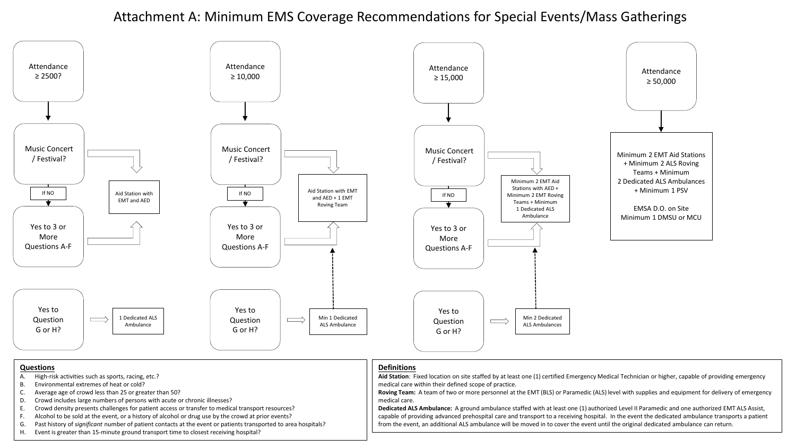# Attachment A: Minimum EMS Coverage Recommendations for Special Events/Mass Gatherings



#### **Questions**

- A. High-risk activities such as sports, racing, etc.?
- B. Environmental extremes of heat or cold?
- C. Average age of crowd less than 25 or greater than 50?
- D. Crowd includes large numbers of persons with acute or chronic illnesses?
- E. Crowd density presents challenges for patient access or transfer to medical transport resources?
- F. Alcohol to be sold at the event, or a history of alcohol or drug use by the crowd at prior events?
- G. Past history of *significant* number of patient contacts at the event or patients transported to area hospitals?
- H. Event is greater than 15-minute ground transport time to closest receiving hospital?

#### **Definitions**

**Aid Station**: Fixed location on site staffed by at least one (1) certified Emergency Medical Technician or higher, capable of providing emergency medical care within their defined scope of practice.

**Roving Team:** A team of two or more personnel at the EMT (BLS) or Paramedic (ALS) level with supplies and equipment for delivery of emergency medical care.

**Dedicated ALS Ambulance:** A ground ambulance staffed with at least one (1) authorized Level II Paramedic and one authorized EMT ALS Assist, capable of providing advanced prehospital care and transport to a receiving hospital. In the event the dedicated ambulance transports a patient from the event, an additional ALS ambulance will be moved in to cover the event until the original dedicated ambulance can return.